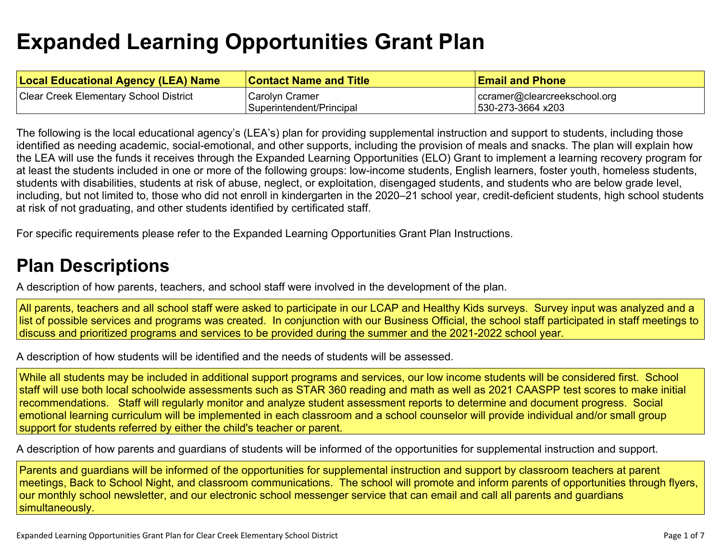# **Expanded Learning [Opportunities](#page-3-0) Grant Plan**

| <b>Local Educational Agency (LEA) Name</b>    | <b>Contact Name and Title</b> | <b>Email and Phone</b>       |
|-----------------------------------------------|-------------------------------|------------------------------|
| <b>Clear Creek Elementary School District</b> | Carolyn Cramer                | ccramer@clearcreekschool.org |
|                                               | Superintendent/Principal      | 530-273-3664 x203            |

The following is the local educational agency's (LEA's) plan for providing supplemental instruction and support to students, including those identified as needing academic, social-emotional, and other supports, including the provision of meals and snacks. The plan will explain how the LEA will use the funds it receives through the Expanded Learning Opportunities (ELO) Grant to implement a learning recovery program for at least the students included in one or more of the following groups: low-income students, English learners, foster youth, homeless students, students with disabilities, students at risk of abuse, neglect, or exploitation, disengaged students, and students who are below grade level, including, but not limited to, those who did not enroll in kindergarten in the 2020–21 school year, credit-deficient students, high school students at risk of not graduating, and other students identified by certificated staff.

For specific requirements please refer to the Expanded Learning Opportunities Grant Plan Instructions.

### **Plan [Descriptions](#page-5-0)**

A description of how parents, teachers, and school staff were involved in the [development](#page-5-1) of the plan.

All parents, teachers and all school staff were asked to participate in our LCAP and Healthy Kids surveys. Survey input was analyzed and a list of possible services and programs was created. In conjunction with our Business Official, the school staff participated in staff meetings to discuss and prioritized programs and services to be provided during the summer and the 2021-2022 school year.

A [description](#page-5-2) of how students will be identified and the needs of students will be assessed[.](#page-5-2)

While all students may be included in additional support programs and services, our low income students will be considered first. School staff will use both local schoolwide assessments such as STAR 360 reading and math as well as 2021 CAASPP test scores to make initial recommendations. Staff will regularly monitor and analyze student assessment reports to determine and document progress. Social emotional learning curriculum will be implemented in each classroom and a school counselor will provide individual and/or small group support for students referred by either the child's teacher or parent.

A description of how parents and guardians of students will be informed of the opportunities for [supplemental](#page-5-3) instruction and support[.](#page-5-3)

Parents and guardians will be informed of the opportunities for supplemental instruction and support by classroom teachers at parent meetings, Back to School Night, and classroom communications. The school will promote and inform parents of opportunities through flyers, our monthly school newsletter, and our electronic school messenger service that can email and call all parents and guardians simultaneously.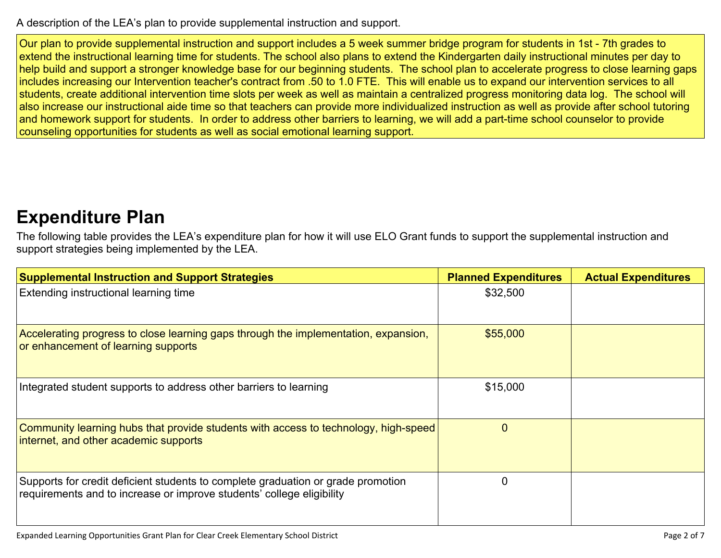A description of the LEA's plan to provide [supplemental](#page-5-4) instruction and support[.](#page-5-4)

Our plan to provide supplemental instruction and support includes a 5 week summer bridge program for students in 1st - 7th grades to extend the instructional learning time for students. The school also plans to extend the Kindergarten daily instructional minutes per day to help build and support a stronger knowledge base for our beginning students. The school plan to accelerate progress to close learning gaps includes increasing our Intervention teacher's contract from .50 to 1.0 FTE. This will enable us to expand our intervention services to all students, create additional intervention time slots per week as well as maintain a centralized progress monitoring data log. The school will also increase our instructional aide time so that teachers can provide more individualized instruction as well as provide after school tutoring and homework support for students. In order to address other barriers to learning, we will add a part-time school counselor to provide counseling opportunities for students as well as social emotional learning support.

### **[Expenditure](#page-6-0) Pla[n](#page-6-0)**

The following table provides the LEA's expenditure plan for how it will use ELO Grant funds to support the supplemental instruction and support strategies being implemented by the LEA.

| <b>Supplemental Instruction and Support Strategies</b>                                                                                                    | <b>Planned Expenditures</b> | <b>Actual Expenditures</b> |
|-----------------------------------------------------------------------------------------------------------------------------------------------------------|-----------------------------|----------------------------|
| Extending instructional learning time                                                                                                                     | \$32,500                    |                            |
| Accelerating progress to close learning gaps through the implementation, expansion,<br>or enhancement of learning supports                                | \$55,000                    |                            |
| Integrated student supports to address other barriers to learning                                                                                         | \$15,000                    |                            |
| Community learning hubs that provide students with access to technology, high-speed<br>internet, and other academic supports                              | $\Omega$                    |                            |
| Supports for credit deficient students to complete graduation or grade promotion<br>requirements and to increase or improve students' college eligibility |                             |                            |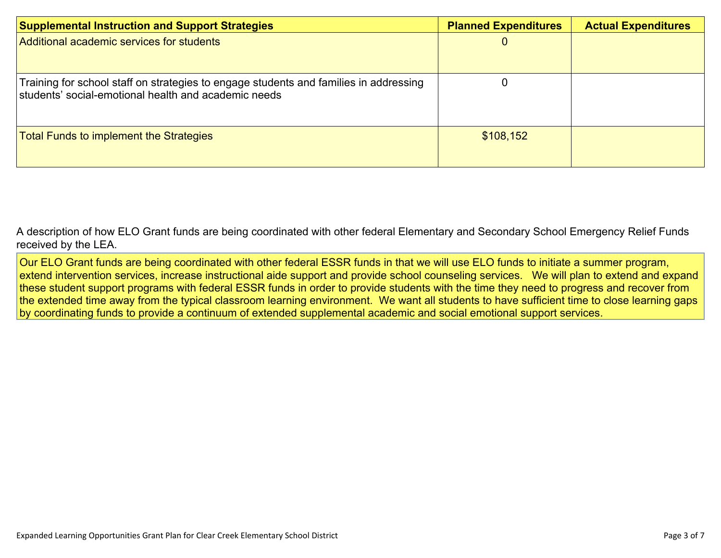| <b>Supplemental Instruction and Support Strategies</b>                                                                                        | <b>Planned Expenditures</b> | <b>Actual Expenditures</b> |
|-----------------------------------------------------------------------------------------------------------------------------------------------|-----------------------------|----------------------------|
| Additional academic services for students                                                                                                     |                             |                            |
| Training for school staff on strategies to engage students and families in addressing<br>students' social-emotional health and academic needs |                             |                            |
| <b>Total Funds to implement the Strategies</b>                                                                                                | \$108,152                   |                            |

A description of how ELO Grant funds are being [coordinated](#page-6-1) with other federal Elementary and Secondary School Emergency Relief Funds [received](#page-6-1) by the LEA.

Our ELO Grant funds are being coordinated with other federal ESSR funds in that we will use ELO funds to initiate a summer program, extend intervention services, increase instructional aide support and provide school counseling services. We will plan to extend and expand these student support programs with federal ESSR funds in order to provide students with the time they need to progress and recover from the extended time away from the typical classroom learning environment. We want all students to have sufficient time to close learning gaps by coordinating funds to provide a continuum of extended supplemental academic and social emotional support services.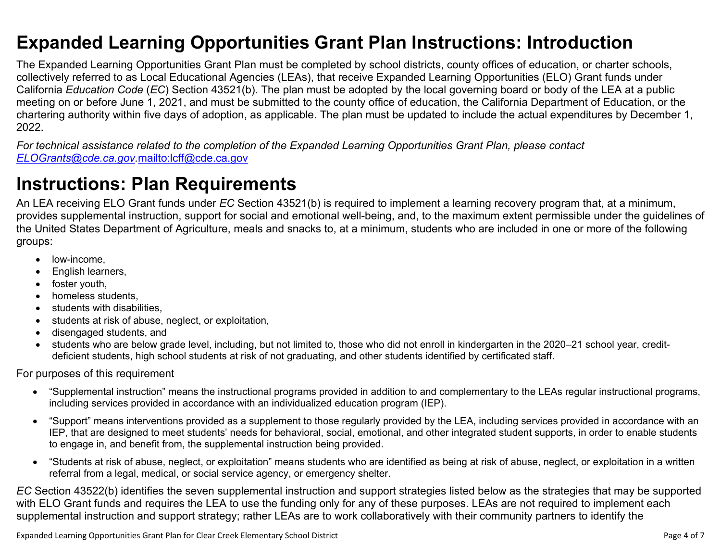### <span id="page-3-0"></span>**Expanded Learning Opportunities Grant Plan Instructions: Introduction**

The Expanded Learning Opportunities Grant Plan must be completed by school districts, county offices of education, or charter schools, collectively referred to as Local Educational Agencies (LEAs), that receive Expanded Learning Opportunities (ELO) Grant funds under California *Education Code* (*EC*) Section 43521(b). The plan must be adopted by the local governing board or body of the LEA at a public meeting on or before June 1, 2021, and must be submitted to the county office of education, the California Department of Education, or the chartering authority within five days of adoption, as applicable. The plan must be updated to include the actual expenditures by December 1, 2022.

For technical assistance related to the completion of the Expanded Learning Opportunities Grant Plan, please contact *[ELOGrants@cde.ca.gov](mailto:ELOGrants@cde.ca.gov).*<mailto:lcff@cde.ca.gov>

## **Instructions: Plan Requirements**

An LEA receiving ELO Grant funds under *EC* Section 43521(b) is required to implement a learning recovery program that, at a minimum, provides supplemental instruction, support for social and emotional well-being, and, to the maximum extent permissible under the guidelines of the United States Department of Agriculture, meals and snacks to, at a minimum, students who are included in one or more of the following groups:

- low-income.
- English learners,
- foster youth,
- homeless students,
- students with disabilities.
- students at risk of abuse, neglect, or exploitation,
- disengaged students, and
- students who are below grade level, including, but not limited to, those who did not enroll in kindergarten in the 2020–21 school year, creditdeficient students, high school students at risk of not graduating, and other students identified by certificated staff.

For purposes of this requirement

- "Supplemental instruction" means the instructional programs provided in addition to and complementary to the LEAs regular instructional programs, including services provided in accordance with an individualized education program (IEP).
- "Support" means interventions provided as a supplement to those regularly provided by the LEA, including services provided in accordance with an IEP, that are designed to meet students' needs for behavioral, social, emotional, and other integrated student supports, in order to enable students to engage in, and benefit from, the supplemental instruction being provided.
- "Students at risk of abuse, neglect, or exploitation" means students who are identified as being at risk of abuse, neglect, or exploitation in a written referral from a legal, medical, or social service agency, or emergency shelter.

*EC* Section 43522(b) identifies the seven supplemental instruction and support strategies listed below as the strategies that may be supported with ELO Grant funds and requires the LEA to use the funding only for any of these purposes. LEAs are not required to implement each supplemental instruction and support strategy; rather LEAs are to work collaboratively with their community partners to identify the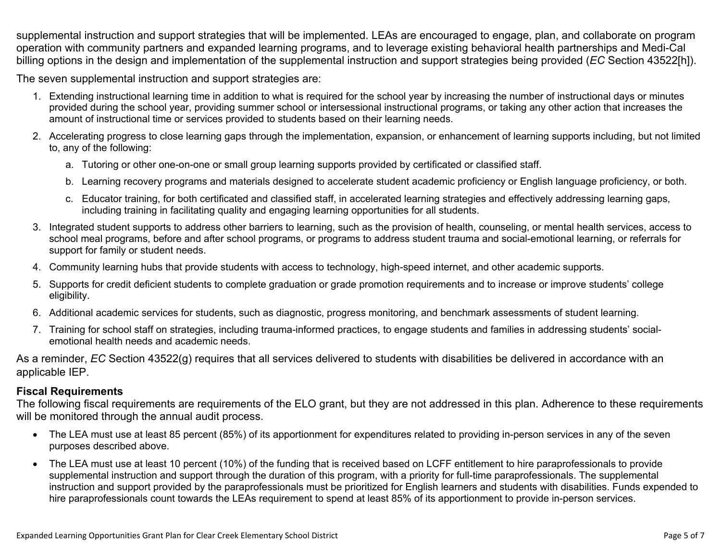supplemental instruction and support strategies that will be implemented. LEAs are encouraged to engage, plan, and collaborate on program operation with community partners and expanded learning programs, and to leverage existing behavioral health partnerships and Medi-Cal billing options in the design and implementation of the supplemental instruction and support strategies being provided (*EC* Section 43522[h]).

The seven supplemental instruction and support strategies are:

- 1. Extending instructional learning time in addition to what is required for the school year by increasing the number of instructional days or minutes provided during the school year, providing summer school or intersessional instructional programs, or taking any other action that increases the amount of instructional time or services provided to students based on their learning needs.
- 2. Accelerating progress to close learning gaps through the implementation, expansion, or enhancement of learning supports including, but not limited to, any of the following:
	- a. Tutoring or other one-on-one or small group learning supports provided by certificated or classified staff.
	- b. Learning recovery programs and materials designed to accelerate student academic proficiency or English language proficiency, or both.
	- c. Educator training, for both certificated and classified staff, in accelerated learning strategies and effectively addressing learning gaps, including training in facilitating quality and engaging learning opportunities for all students.
- 3. Integrated student supports to address other barriers to learning, such as the provision of health, counseling, or mental health services, access to school meal programs, before and after school programs, or programs to address student trauma and social-emotional learning, or referrals for support for family or student needs.
- 4. Community learning hubs that provide students with access to technology, high-speed internet, and other academic supports.
- 5. Supports for credit deficient students to complete graduation or grade promotion requirements and to increase or improve students' college eligibility.
- 6. Additional academic services for students, such as diagnostic, progress monitoring, and benchmark assessments of student learning.
- 7. Training for school staff on strategies, including trauma-informed practices, to engage students and families in addressing students' socialemotional health needs and academic needs.

As a reminder, *EC* Section 43522(g) requires that all services delivered to students with disabilities be delivered in accordance with an applicable IEP.

### **Fiscal Requirements**

The following fiscal requirements are requirements of the ELO grant, but they are not addressed in this plan. Adherence to these requirements will be monitored through the annual audit process.

- The LEA must use at least 85 percent (85%) of its apportionment for expenditures related to providing in-person services in any of the seven purposes described above.
- The LEA must use at least 10 percent (10%) of the funding that is received based on LCFF entitlement to hire paraprofessionals to provide supplemental instruction and support through the duration of this program, with a priority for full-time paraprofessionals. The supplemental instruction and support provided by the paraprofessionals must be prioritized for English learners and students with disabilities. Funds expended to hire paraprofessionals count towards the LEAs requirement to spend at least 85% of its apportionment to provide in-person services.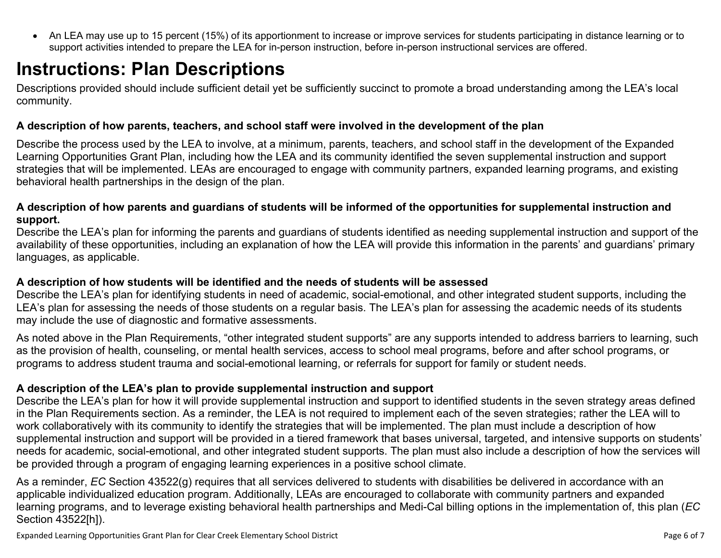<span id="page-5-0"></span> An LEA may use up to 15 percent (15%) of its apportionment to increase or improve services for students participating in distance learning or to support activities intended to prepare the LEA for in-person instruction, before in-person instructional services are offered.

# **Instructions: Plan Descriptions**

Descriptions provided should include sufficient detail yet be sufficiently succinct to promote a broad understanding among the LEA's local community.

#### <span id="page-5-1"></span>**A description of how parents, teachers, and school staff were involved in the development of the plan**

Describe the process used by the LEA to involve, at a minimum, parents, teachers, and school staff in the development of the Expanded Learning Opportunities Grant Plan, including how the LEA and its community identified the seven supplemental instruction and support strategies that will be implemented. LEAs are encouraged to engage with community partners, expanded learning programs, and existing behavioral health partnerships in the design of the plan.

#### <span id="page-5-2"></span>A description of how parents and guardians of students will be informed of the opportunities for supplemental instruction and **support.**

Describe the LEA's plan for informing the parents and guardians of students identified as needing supplemental instruction and support of the availability of these opportunities, including an explanation of how the LEA will provide this information in the parents' and guardians' primary languages, as applicable.

#### <span id="page-5-3"></span>**A description of how students will be identified and the needs of students will be assessed**

Describe the LEA's plan for identifying students in need of academic, social-emotional, and other integrated student supports, including the LEA's plan for assessing the needs of those students on a regular basis. The LEA's plan for assessing the academic needs of its students may include the use of diagnostic and formative assessments.

As noted above in the Plan Requirements, "other integrated student supports" are any supports intended to address barriers to learning, such as the provision of health, counseling, or mental health services, access to school meal programs, before and after school programs, or programs to address student trauma and social-emotional learning, or referrals for support for family or student needs.

### <span id="page-5-4"></span>**A description of the LEA's plan to provide supplemental instruction and support**

Describe the LEA's plan for how it will provide supplemental instruction and support to identified students in the seven strategy areas defined in the Plan Requirements section. As a reminder, the LEA is not required to implement each of the seven strategies; rather the LEA will to work collaboratively with its community to identify the strategies that will be implemented. The plan must include a description of how supplemental instruction and support will be provided in a tiered framework that bases universal, targeted, and intensive supports on students' needs for academic, social-emotional, and other integrated student supports. The plan must also include a description of how the services will be provided through a program of engaging learning experiences in a positive school climate.

As a reminder, *EC* Section 43522(g) requires that all services delivered to students with disabilities be delivered in accordance with an applicable individualized education program. Additionally, LEAs are encouraged to collaborate with community partners and expanded learning programs, and to leverage existing behavioral health partnerships and Medi-Cal billing options in the implementation of, this plan (*EC* Section 43522[h]).